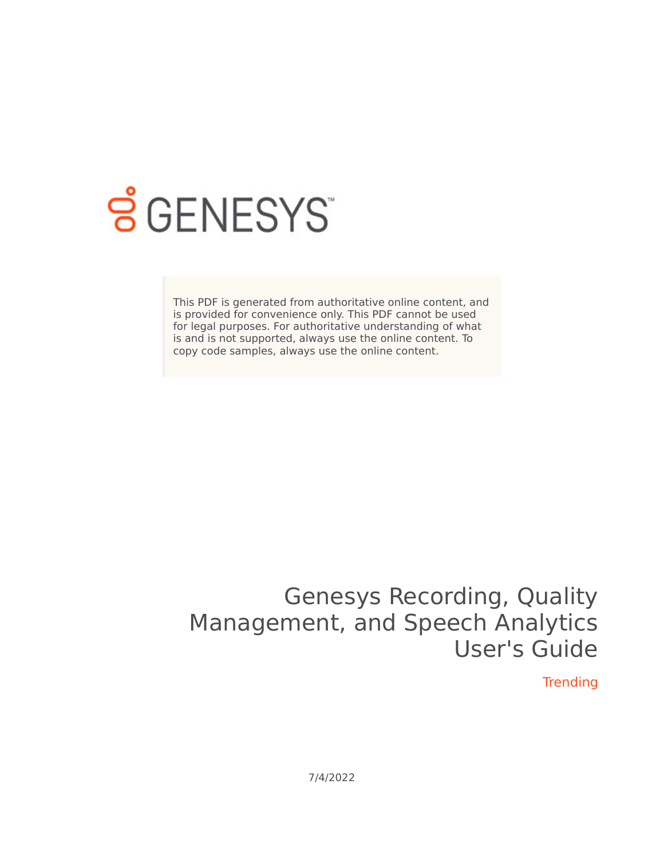

# **SGENESYS**

This PDF is generated from authoritative online content, and is provided for convenience only. This PDF cannot be used for legal purposes. For authoritative understanding of what is and is not supported, always use the online content. To copy code samples, always use the online content.

## Genesys Recording, Quality Management, and Speech Analytics User's Guide

**Trending** 

7/4/2022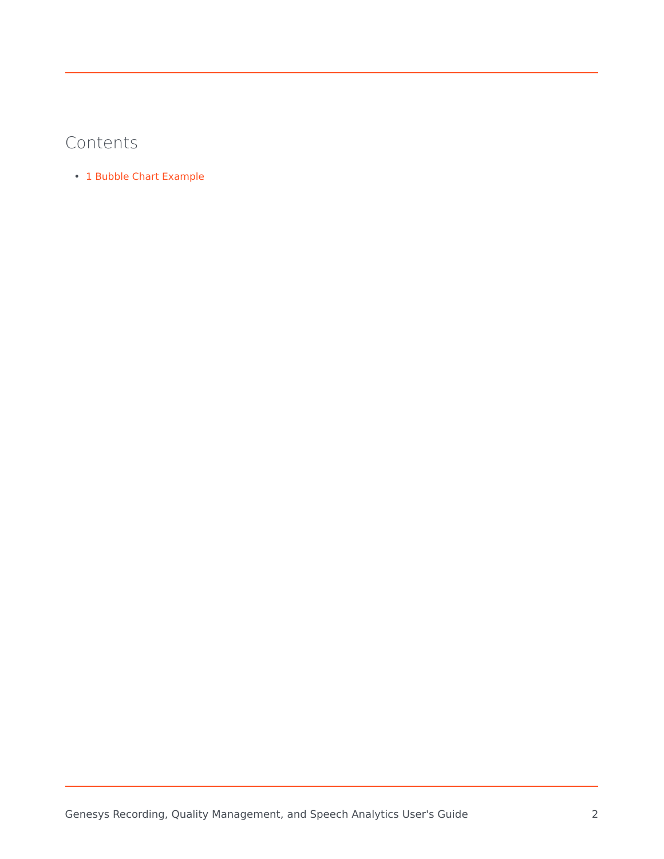## Contents

• 1 [Bubble Chart Example](#page-3-0)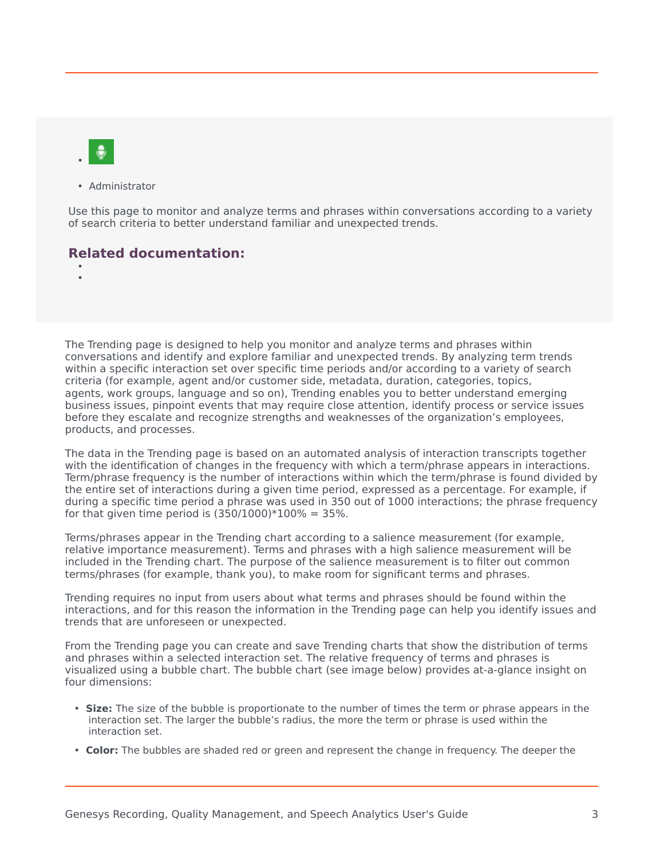

• Administrator

Use this page to monitor and analyze terms and phrases within conversations according to a variety of search criteria to better understand familiar and unexpected trends.

### **Related documentation:**

• •

The Trending page is designed to help you monitor and analyze terms and phrases within conversations and identify and explore familiar and unexpected trends. By analyzing term trends within a specific interaction set over specific time periods and/or according to a variety of search criteria (for example, agent and/or customer side, metadata, duration, categories, topics, agents, work groups, language and so on), Trending enables you to better understand emerging business issues, pinpoint events that may require close attention, identify process or service issues before they escalate and recognize strengths and weaknesses of the organization's employees, products, and processes.

The data in the Trending page is based on an automated analysis of interaction transcripts together with the identification of changes in the frequency with which a term/phrase appears in interactions. Term/phrase frequency is the number of interactions within which the term/phrase is found divided by the entire set of interactions during a given time period, expressed as a percentage. For example, if during a specific time period a phrase was used in 350 out of 1000 interactions; the phrase frequency for that given time period is  $(350/1000)*100% = 35%$ .

Terms/phrases appear in the Trending chart according to a salience measurement (for example, relative importance measurement). Terms and phrases with a high salience measurement will be included in the Trending chart. The purpose of the salience measurement is to filter out common terms/phrases (for example, thank you), to make room for significant terms and phrases.

Trending requires no input from users about what terms and phrases should be found within the interactions, and for this reason the information in the Trending page can help you identify issues and trends that are unforeseen or unexpected.

From the Trending page you can create and save Trending charts that show the distribution of terms and phrases within a selected interaction set. The relative frequency of terms and phrases is visualized using a bubble chart. The bubble chart (see image below) provides at-a-glance insight on four dimensions:

- **Size:** The size of the bubble is proportionate to the number of times the term or phrase appears in the interaction set. The larger the bubble's radius, the more the term or phrase is used within the interaction set.
- **Color:** The bubbles are shaded red or green and represent the change in frequency. The deeper the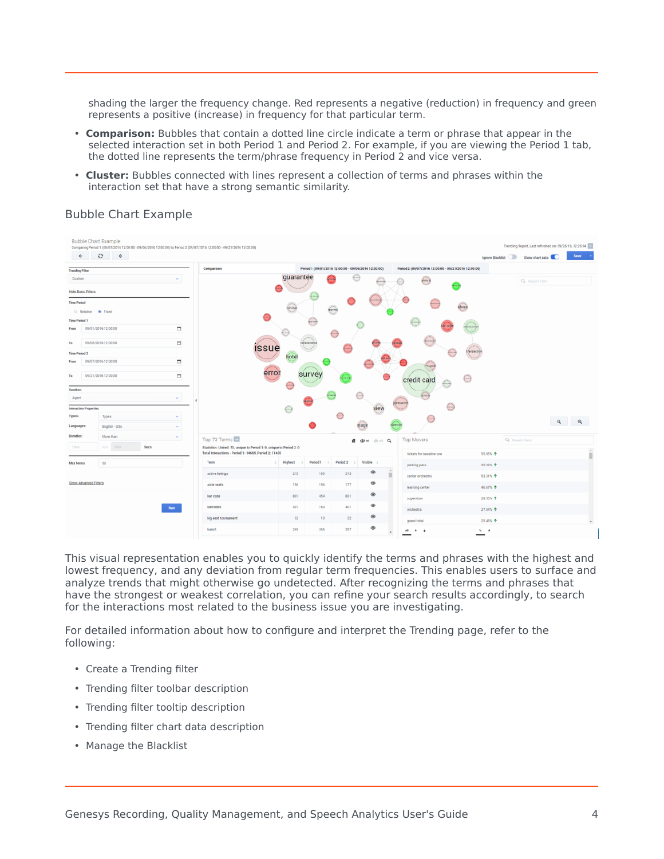shading the larger the frequency change. Red represents a negative (reduction) in frequency and green represents a positive (increase) in frequency for that particular term.

- **Comparison:** Bubbles that contain a dotted line circle indicate a term or phrase that appear in the selected interaction set in both Period 1 and Period 2. For example, if you are viewing the Period 1 tab, the dotted line represents the term/phrase frequency in Period 2 and vice versa.
- **Cluster:** Bubbles connected with lines represent a collection of terms and phrases within the interaction set that have a strong semantic similarity.

<span id="page-3-0"></span>

### Bubble Chart Example

This visual representation enables you to quickly identify the terms and phrases with the highest and lowest frequency, and any deviation from regular term frequencies. This enables users to surface and analyze trends that might otherwise go undetected. After recognizing the terms and phrases that have the strongest or weakest correlation, you can refine your search results accordingly, to search for the interactions most related to the business issue you are investigating.

For detailed information about how to configure and interpret the Trending page, refer to the following:

- Create a Trending filter
- Trending filter toolbar description
- Trending filter tooltip description
- Trending filter chart data description
- Manage the Blacklist